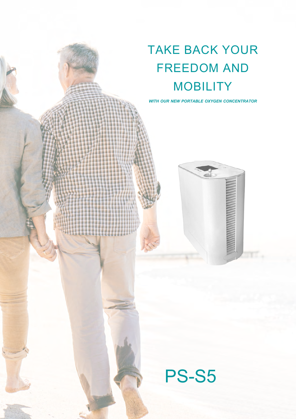# TAKE BACK YOUR FREEDOM AND **MOBILITY**

*WITH OUR NEW PORTABLE OXYGEN CONCENTRATOR*



PS-S5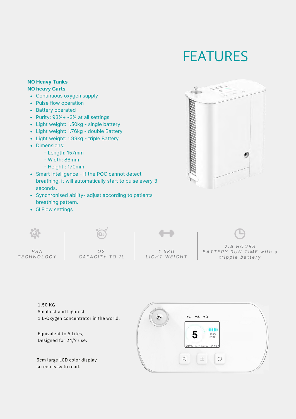#### FEATURES

#### **NO Heavy Tanks NO heavy Carts**

- Continuous oxygen supply
- Pulse flow operation
- Battery operated
- Purity: 93%+ -3% at all settings
- Light weight: 1.50kg single battery
- Light weight: 1.76kg double Battery
- Light weight: 1.99kg triple Battery
- Dimensions:
	- Length: 157mm
	- Width: 86mm
	- Height : 170mm
- Smart Intelligence If the POC cannot detect breathing, it will automatically start to pulse every 3 seconds.
- Synchronised ability- adjust according to patients breathing pattern.
- 5l Flow settings





1.50 KG Smallest and Lightest 1 L-Oxygen concentrator in the world.

Equivalent to 5 Lites, Designed for 24/7 use.

5cm large LCD color display screen easy to read.

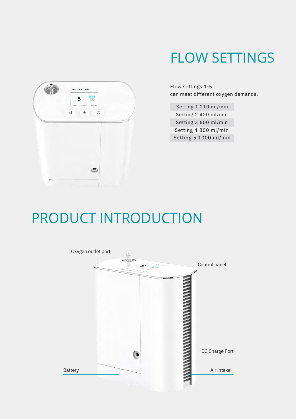

#### FLOW SETTINGS

Flow settings 1-5 can meet different oxygen demands.

Setting 1 210 ml/min Setting 2 420 ml/min Setting 3 600 ml/min Setting 4 800 ml/min Setting 5 1000 ml/min

### PRODUCT INTRODUCTION

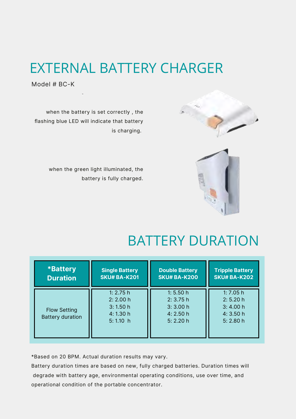### EXTERNAL BATTERY CHARGER

Model # BC-K



when the green light illuminated, the battery is fully charged.



### BATTERY DURATION

| <b>*Battery</b>                                | <b>Single Battery</b>                                     | <b>Double Battery</b>                                    | <b>Tripple Battery</b>                                    |
|------------------------------------------------|-----------------------------------------------------------|----------------------------------------------------------|-----------------------------------------------------------|
| <b>Duration</b>                                | <b>SKU# BA-K201</b>                                       | <b>SKU# BA-K200</b>                                      | <b>SKU# BA-K202</b>                                       |
| <b>Flow Setting</b><br><b>Battery duration</b> | 1: $2.75h$<br>2: 2.00 h<br>3:1.50h<br>4:1.30h<br>5:1.10 h | 1: $5.50h$<br>2: 3.75h<br>3:3.00h<br>4:2.50h<br>5: 2.20h | 1: $7.05h$<br>2: 5.20 h<br>3:4.00h<br>4:3.50h<br>5: 2.80h |

\*Based on 20 BPM. Actual duration results may vary.

Battery duration times are based on new, fully charged batteries. Duration times will degrade with battery age, environmental operating conditions, use over time, and operational condition of the portable concentrator.